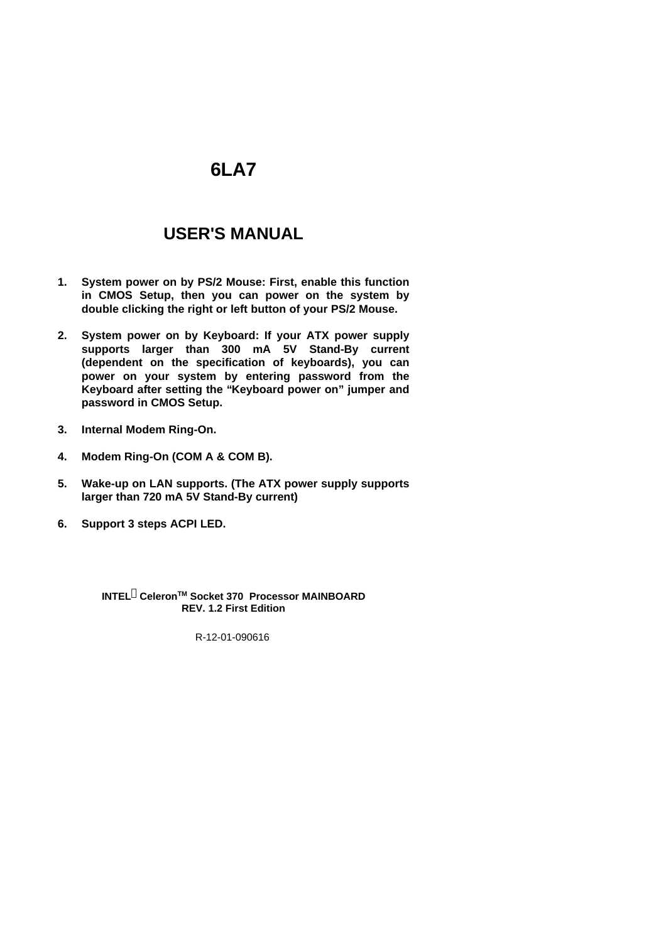# **6LA7**

# **USER'S MANUAL**

- **1. System power on by PS/2 Mouse: First, enable this function in CMOS Setup, then you can power on the system by double clicking the right or left button of your PS/2 Mouse.**
- **2. System power on by Keyboard: If your ATX power supply supports larger than 300 mA 5V Stand-By current (dependent on the specification of keyboards), you can power on your system by entering password from the Keyboard after setting the "Keyboard power on" jumper and password in CMOS Setup.**
- **3. Internal Modem Ring-On.**
- **4. Modem Ring-On (COM A & COM B).**
- **5. Wake-up on LAN supports. (The ATX power supply supports larger than 720 mA 5V Stand-By current)**
- **6. Support 3 steps ACPI LED.**

**INTELâCeleronTM Socket 370 Processor MAINBOARD REV. 1.2 First Edition**

R-12-01-090616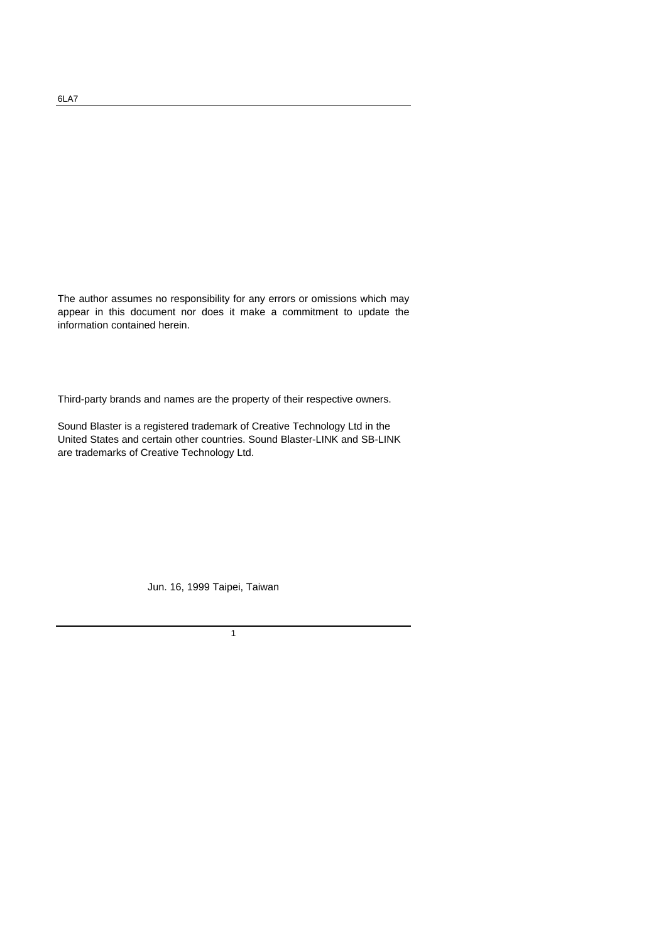The author assumes no responsibility for any errors or omissions which may appear in this document nor does it make a commitment to update the information contained herein.

Third-party brands and names are the property of their respective owners.

Sound Blaster is a registered trademark of Creative Technology Ltd in the United States and certain other countries. Sound Blaster-LINK and SB-LINK are trademarks of Creative Technology Ltd.

Jun. 16, 1999 Taipei, Taiwan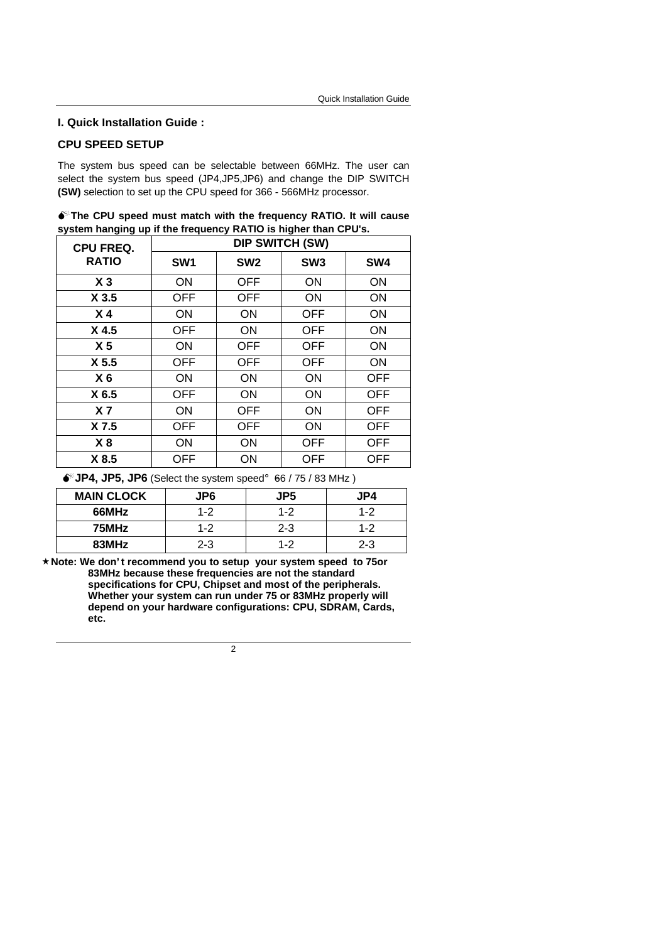#### **I. Quick Installation Guide :**

### **CPU SPEED SETUP**

The system bus speed can be selectable between 66MHz. The user can select the system bus speed (JP4,JP5,JP6) and change the DIP SWITCH **(SW)** selection to set up the CPU speed for 366 - 566MHz processor.

|                                                                | $\bullet$ The CPU speed must match with the frequency RATIO. It will cause |  |  |
|----------------------------------------------------------------|----------------------------------------------------------------------------|--|--|
| system hanging up if the frequency RATIO is higher than CPU's. |                                                                            |  |  |
|                                                                | <b>NID CIMITALL ACIAN</b>                                                  |  |  |

| <b>CPU FREQ.</b><br><b>RATIO</b> | <b>DIP SWITCH (SW)</b> |                 |                 |                 |
|----------------------------------|------------------------|-----------------|-----------------|-----------------|
|                                  | SW <sub>1</sub>        | SW <sub>2</sub> | SW <sub>3</sub> | SW <sub>4</sub> |
| X <sub>3</sub>                   | ON                     | <b>OFF</b>      | ON              | ON              |
| X <sub>3.5</sub>                 | <b>OFF</b>             | <b>OFF</b>      | <b>ON</b>       | ON              |
| X <sub>4</sub>                   | <b>ON</b>              | ON              | <b>OFF</b>      | ON              |
| X <sub>4.5</sub>                 | <b>OFF</b>             | <b>ON</b>       | <b>OFF</b>      | ON              |
| X <sub>5</sub>                   | <b>ON</b>              | <b>OFF</b>      | <b>OFF</b>      | ON              |
| X <sub>5.5</sub>                 | <b>OFF</b>             | <b>OFF</b>      | <b>OFF</b>      | ON              |
| X <sub>6</sub>                   | <b>ON</b>              | <b>ON</b>       | <b>ON</b>       | <b>OFF</b>      |
| X 6.5                            | <b>OFF</b>             | <b>ON</b>       | ON              | <b>OFF</b>      |
| X <sub>7</sub>                   | <b>ON</b>              | <b>OFF</b>      | ON              | <b>OFF</b>      |
| X 7.5                            | <b>OFF</b>             | <b>OFF</b>      | <b>ON</b>       | <b>OFF</b>      |
| X8                               | ON                     | ON              | <b>OFF</b>      | <b>OFF</b>      |
| X 8.5                            | OFF                    | ON              | <b>OFF</b>      | <b>OFF</b>      |

 $\bullet^*$ **JP4, JP5, JP6** (Select the system speed<sub>i</sub>  $\bullet$  66 / 75 / 83 MHz)

| <b>MAIN CLOCK</b> | JP6     | JP5     | JP4     |
|-------------------|---------|---------|---------|
| 66MHz             | $1 - 2$ | $1 - 2$ | $1 - 2$ |
| 75MHz             | $1 - 2$ | $2 - 3$ | $1 - 2$ |
| 83MHz             | $2 - 3$ | $1 - 2$ | $2 - 3$ |

**´Note: We don' t recommend you to setup your system speed to 75or 83MHz because these frequencies are not the standard specifications for CPU, Chipset and most of the peripherals. Whether your system can run under 75 or 83MHz properly will depend on your hardware configurations: CPU, SDRAM, Cards, etc.**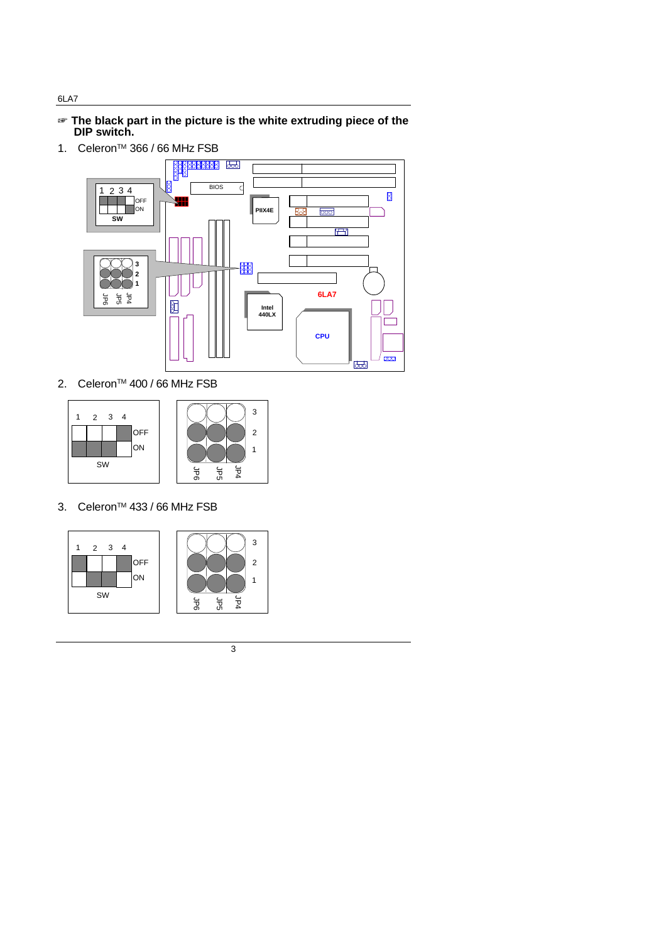- $\mathbf{F}$  **The black part in the picture is the white extruding piece of the DIP switch.**
- 1. Celeron<sup>™</sup> 366 / 66 MHz FSB



JP4

2. Celeron™ 400 / 66 MHz FSB



3. Celeron<sup>™</sup> 433 / 66 MHz FSB



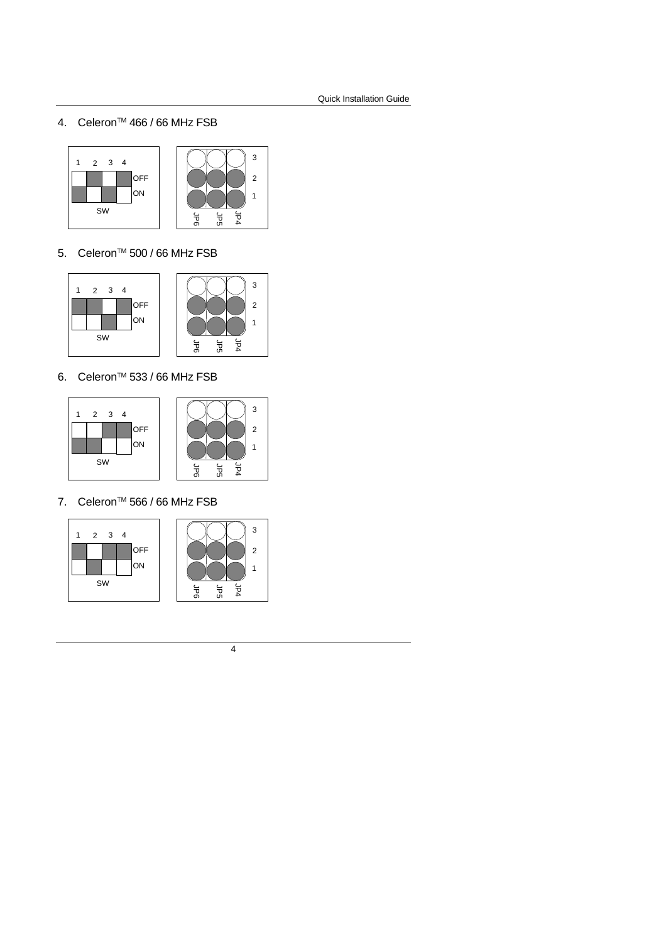4. Celeron<sup>™</sup> 466 / 66 MHz FSB



5. Celeron<sup>™</sup> 500 / 66 MHz FSB



6. Celeron<sup>™</sup> 533 / 66 MHz FSB





7. Celeron<sup>™</sup> 566 / 66 MHz FSB





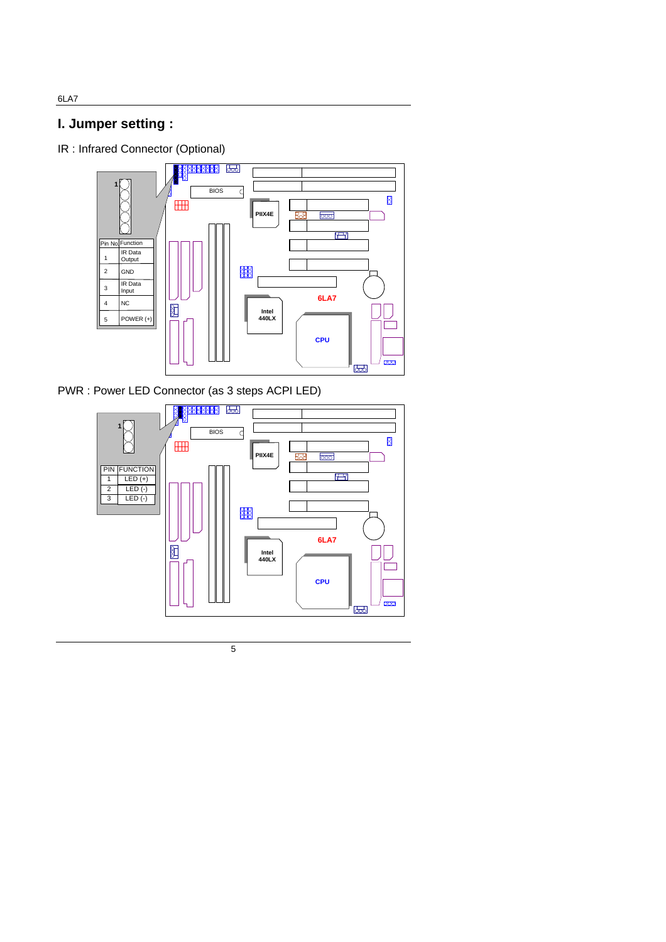**I. Jumper setting :**

IR : Infrared Connector (Optional)



PWR : Power LED Connector (as 3 steps ACPI LED)



5

6LA7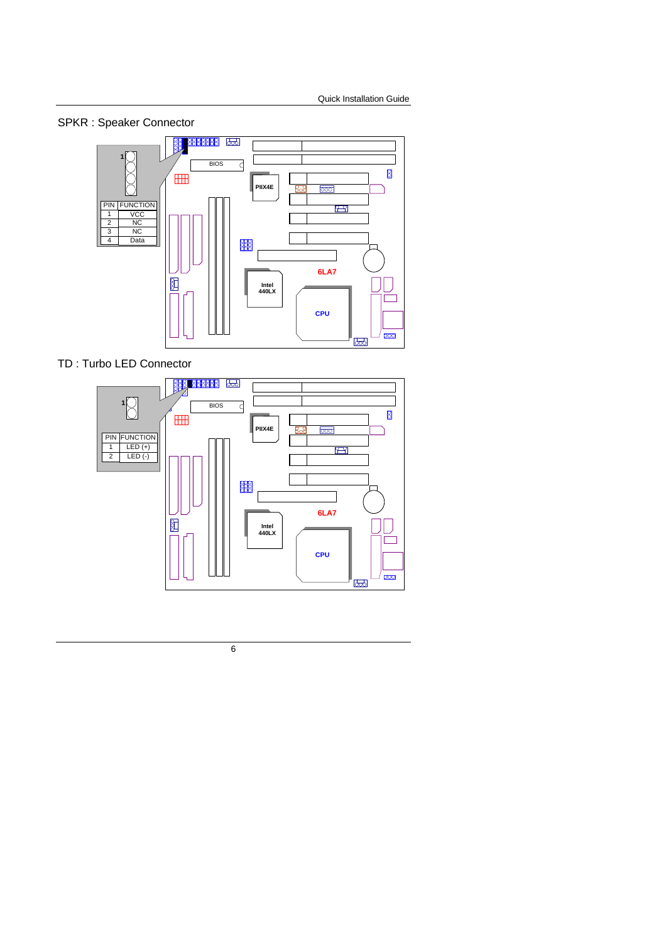SPKR : Speaker Connector



TD : Turbo LED Connector

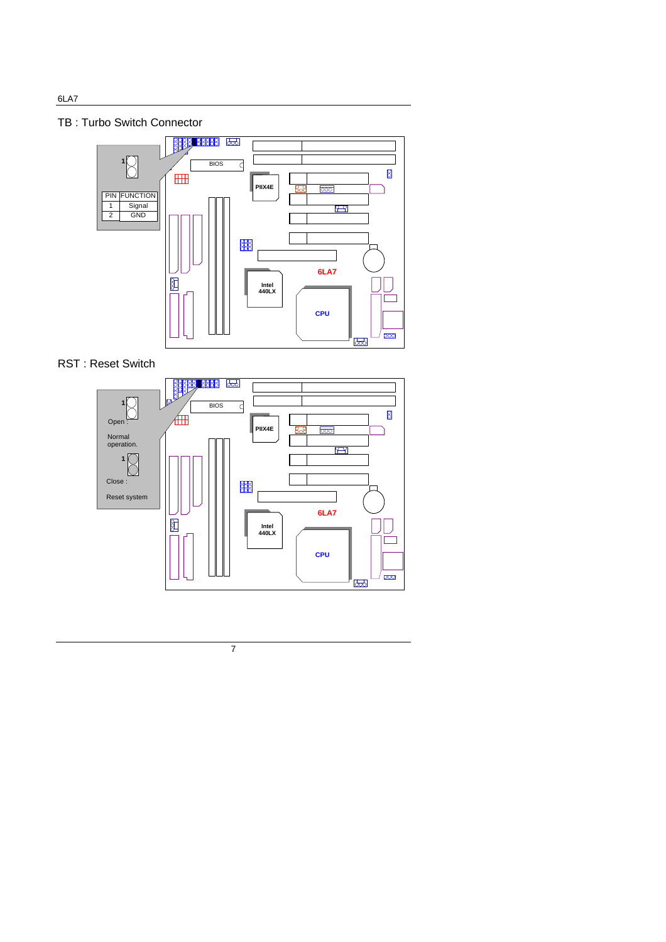TB : Turbo Switch Connector



RST : Reset Switch

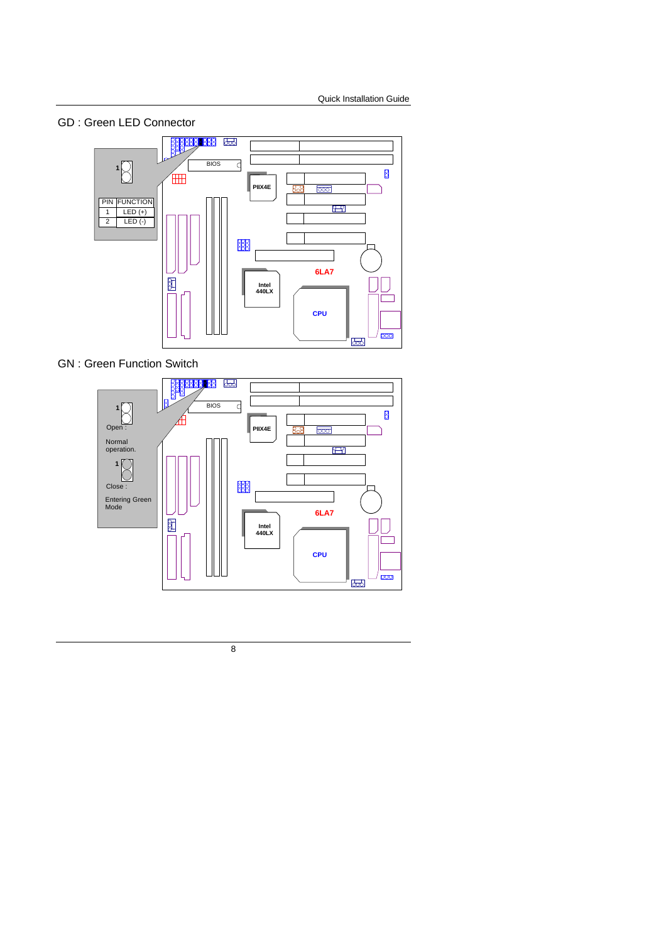GD : Green LED Connector



GN : Green Function Switch

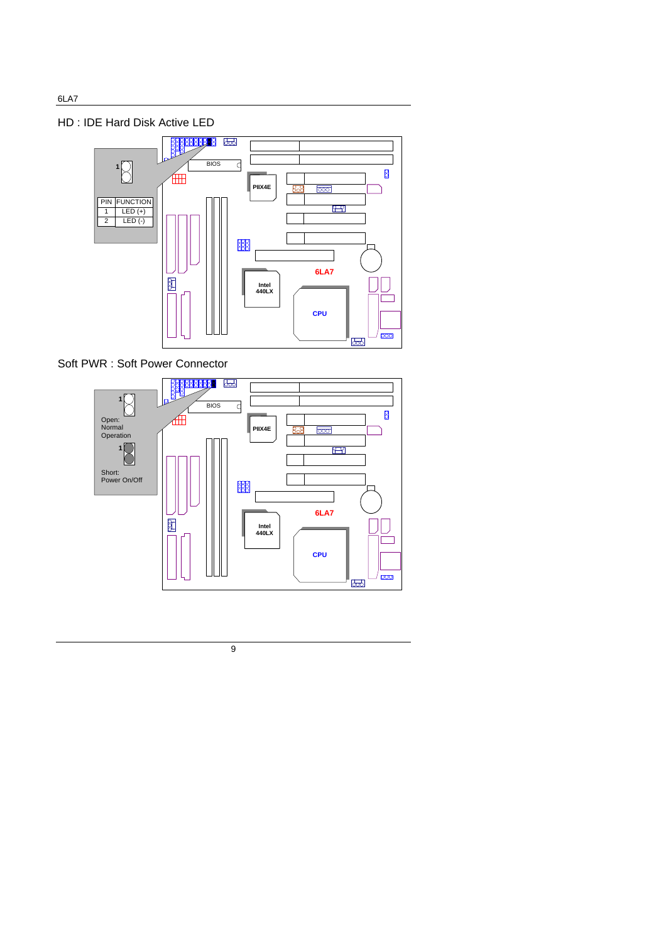HD : IDE Hard Disk Active LED



Soft PWR : Soft Power Connector

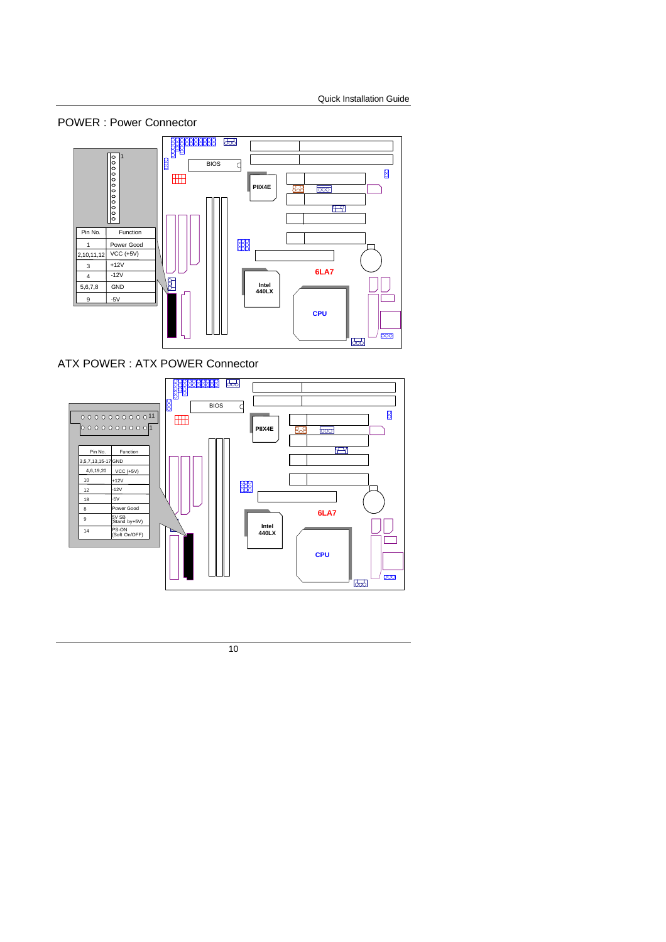



ATX POWER : ATX POWER Connector

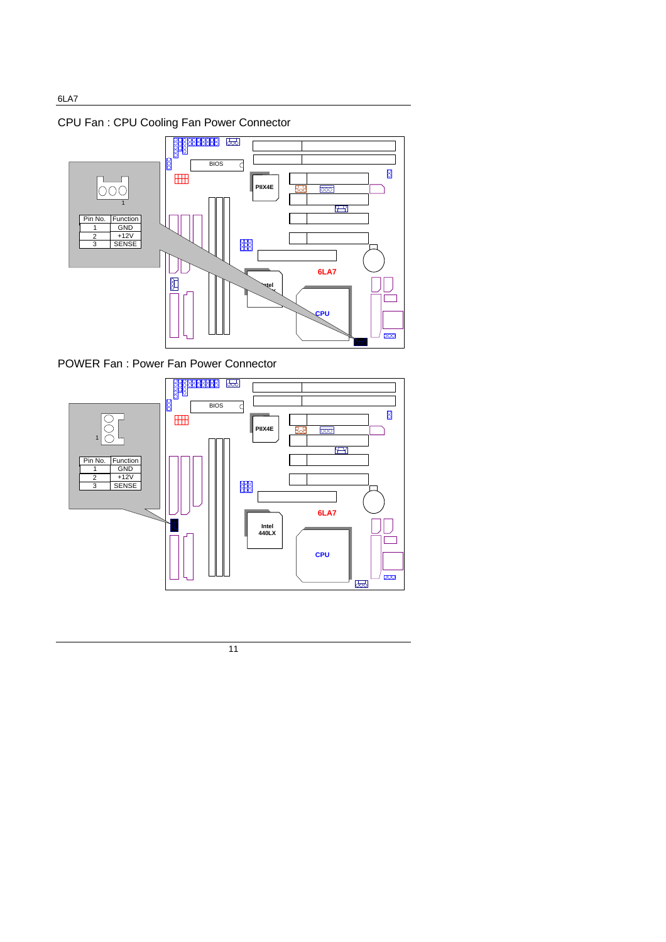CPU Fan : CPU Cooling Fan Power Connector



POWER Fan : Power Fan Power Connector

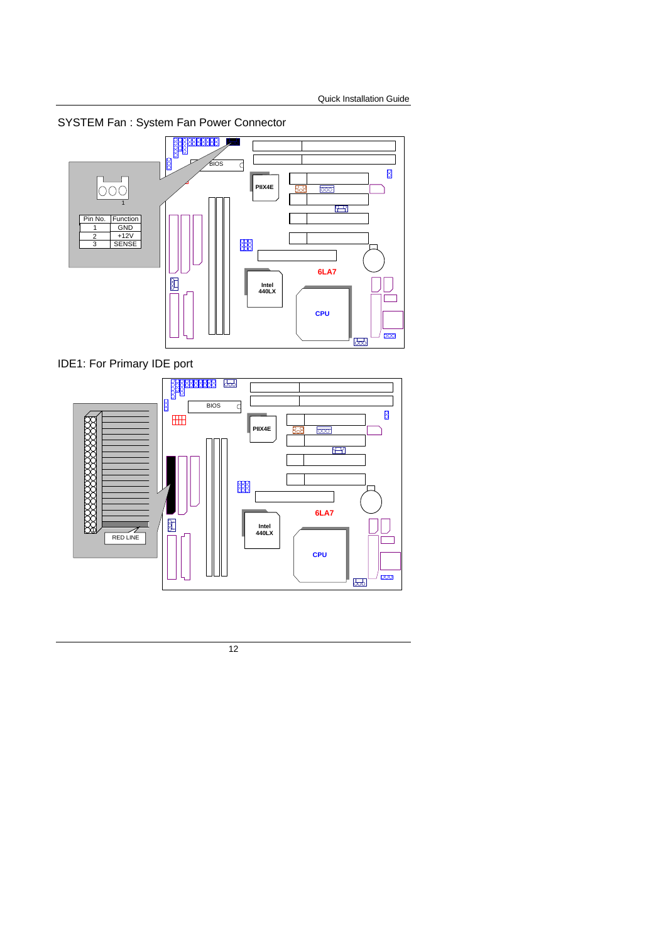SYSTEM Fan : System Fan Power Connector



IDE1: For Primary IDE port

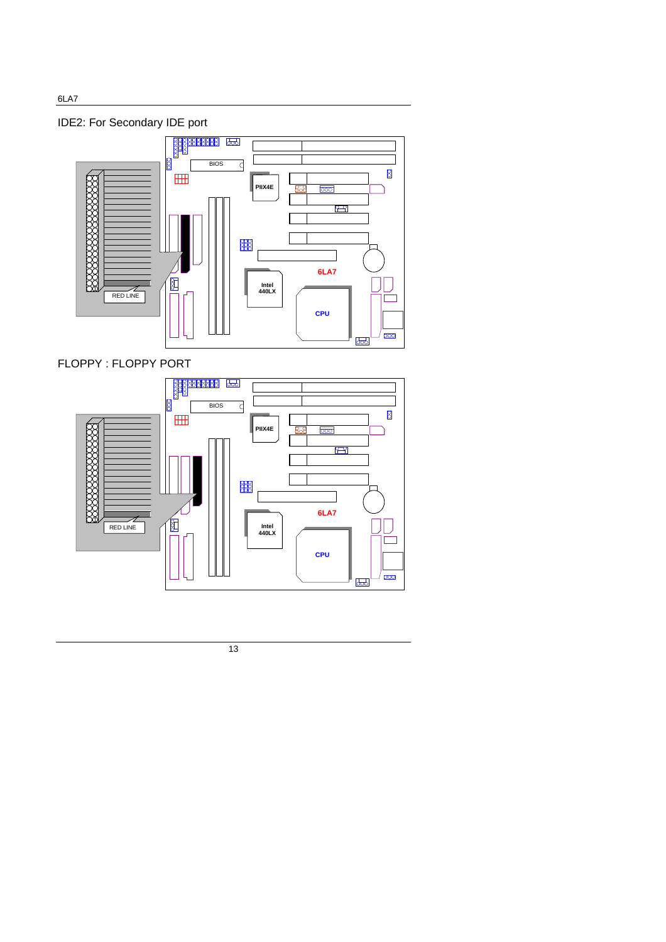IDE2: For Secondary IDE port



FLOPPY : FLOPPY PORT



13

6LA7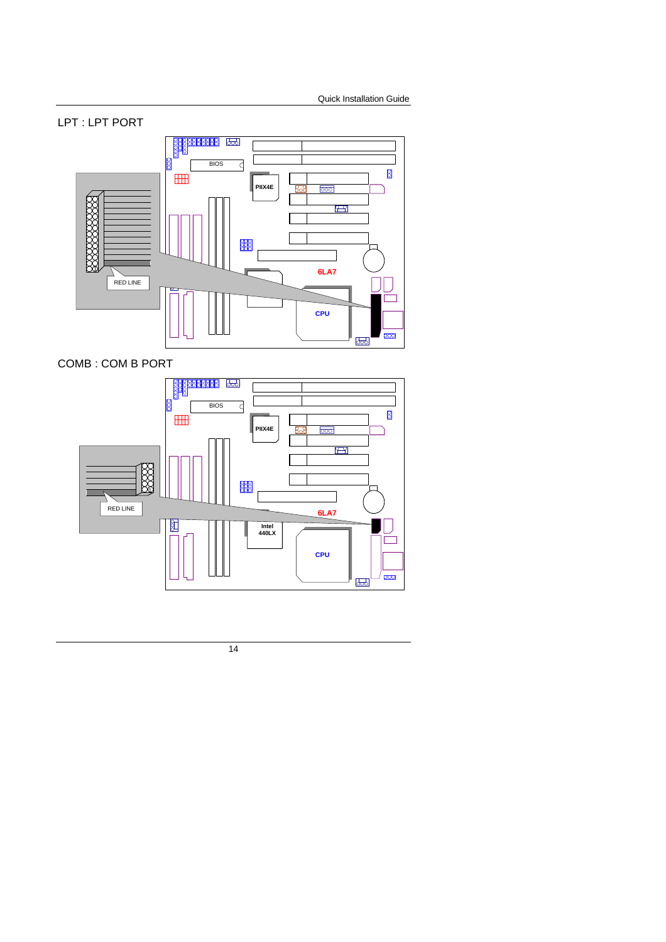### LPT : LPT PORT



COMB : COM B PORT

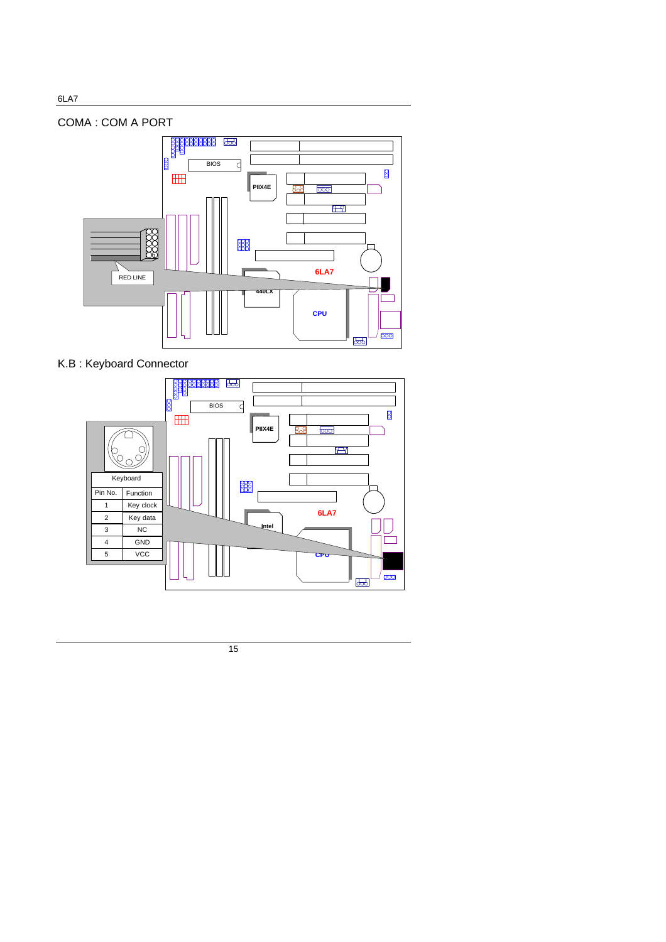## COMA : COM A PORT



## K.B : Keyboard Connector

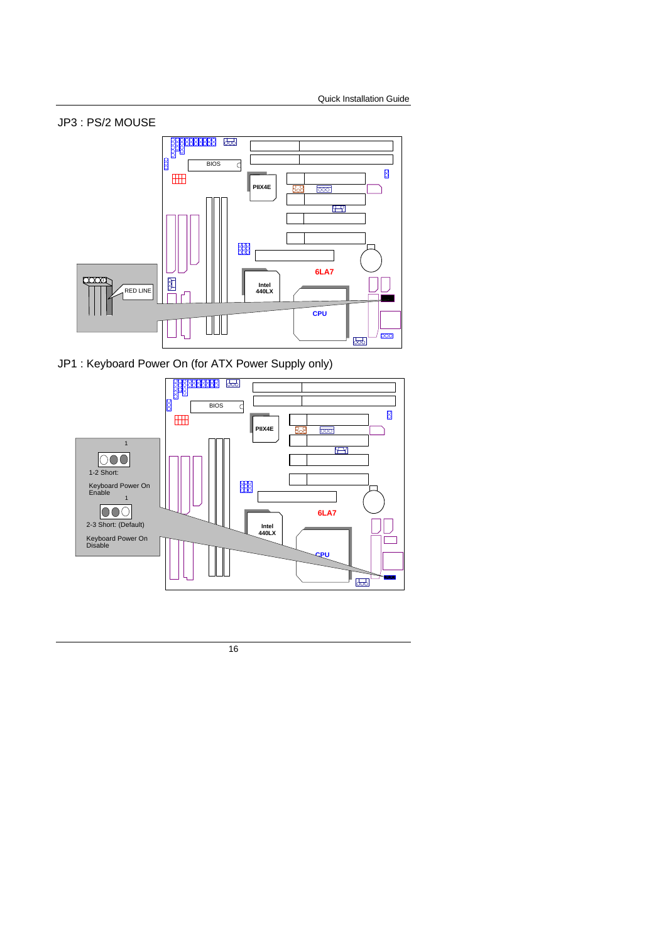

JP1 : Keyboard Power On (for ATX Power Supply only)

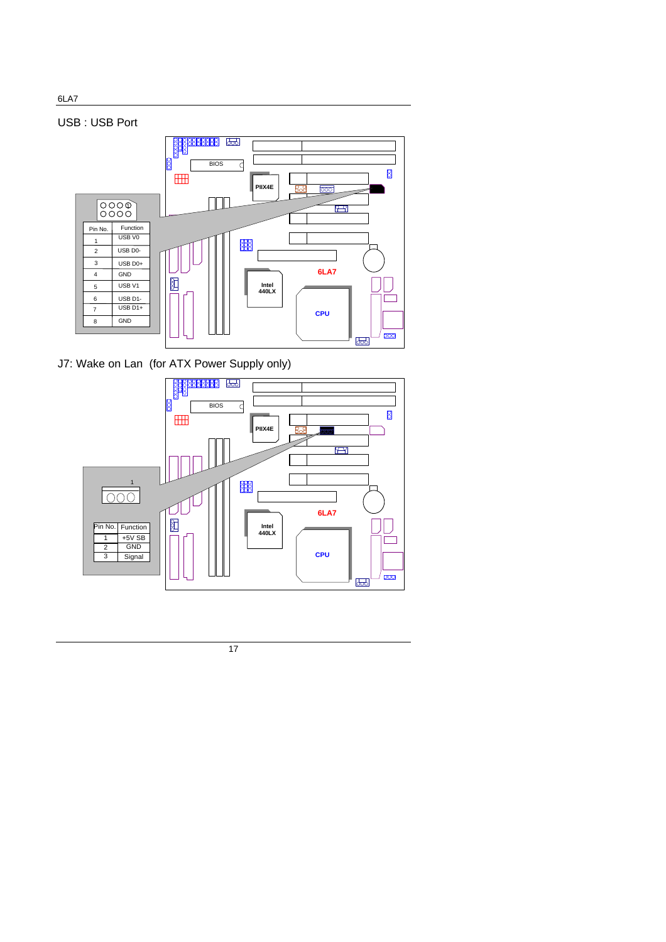



J7: Wake on Lan (for ATX Power Supply only)



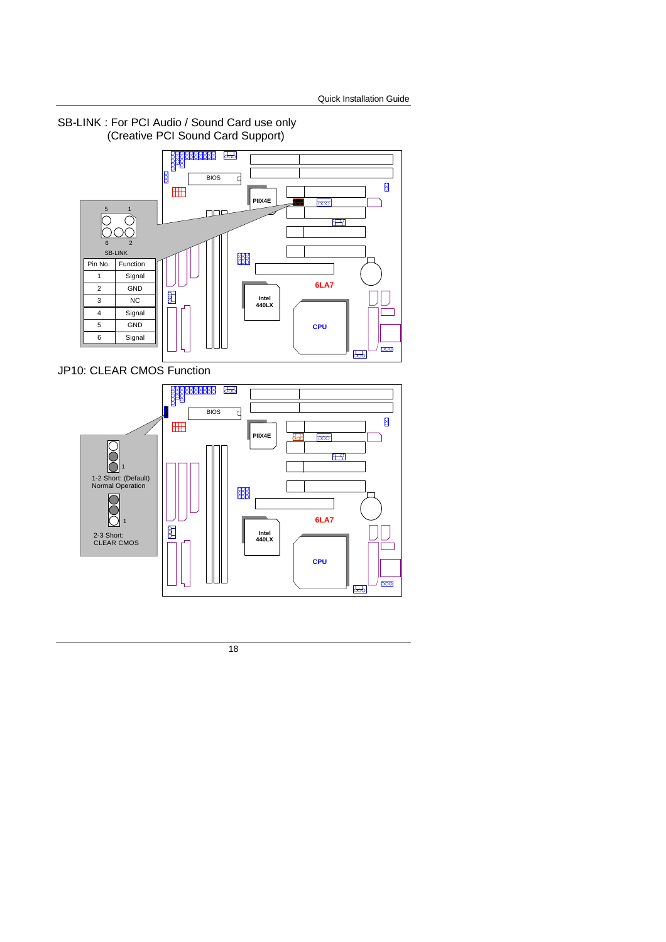



JP10: CLEAR CMOS Function

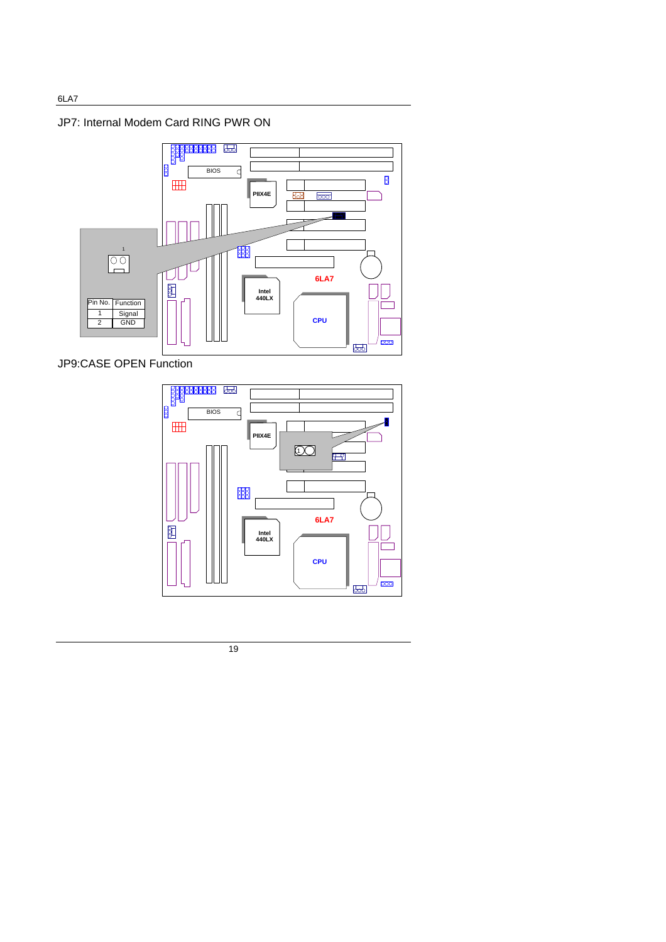JP7: Internal Modem Card RING PWR ON



JP9:CASE OPEN Function



19

6LA7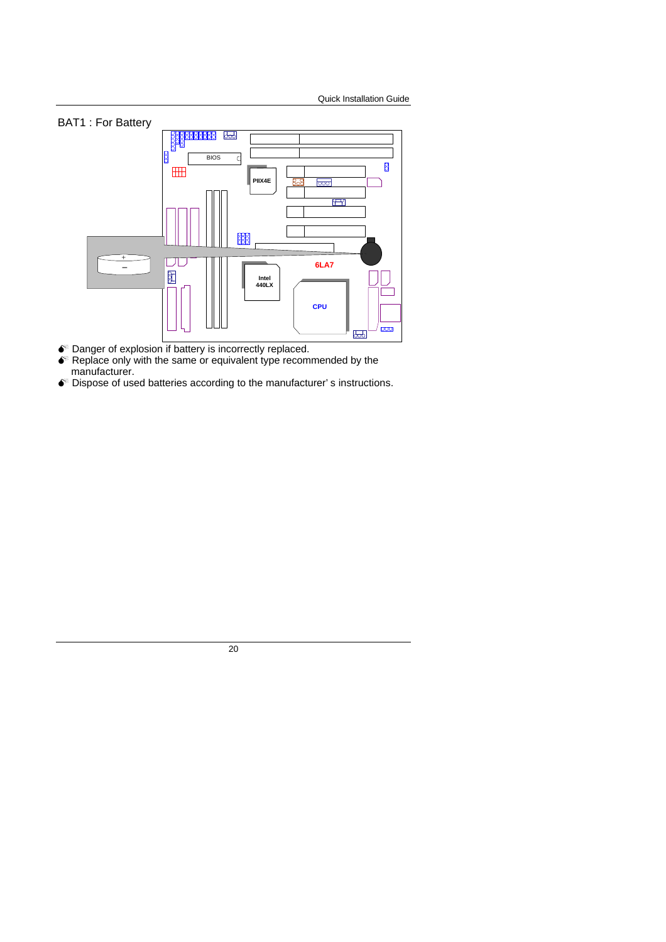



- $\bullet$  Danger of explosion if battery is incorrectly replaced.
- $\bullet$  Replace only with the same or equivalent type recommended by the manufacturer.
- $\bullet^{\!\!\times}$  Dispose of used batteries according to the manufacturer's instructions.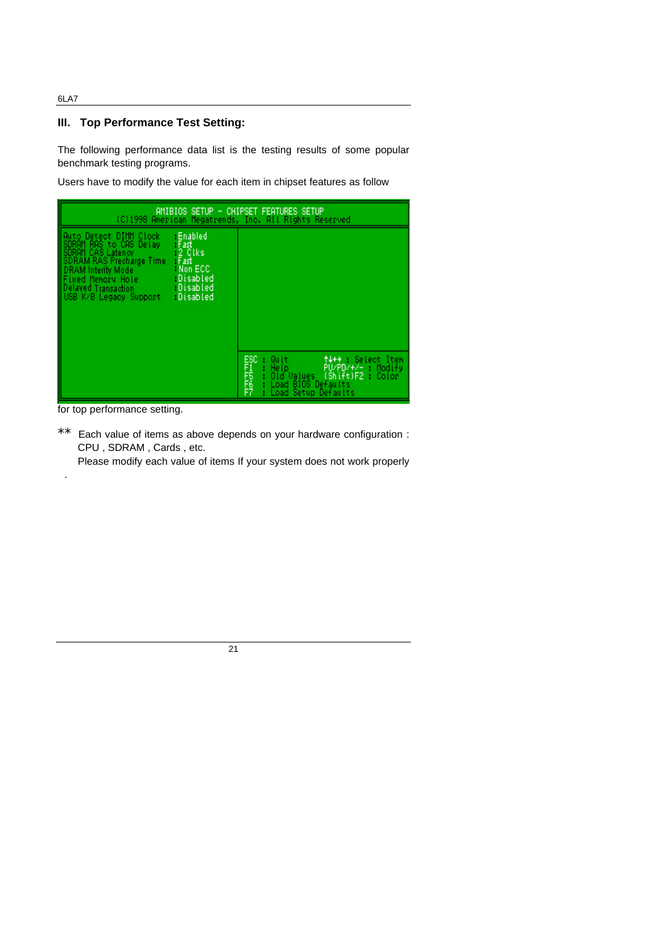#### 6LA7

#### **III. Top Performance Test Setting:**

The following performance data list is the testing results of some popular benchmark testing programs.

Users have to modify the value for each item in chipset features as follow

| AMIBIOS SETUP - CHIPSET FEATURES SETUP<br>(C)1998 American Megatrends, Inc. All Rights Reserved                                                                                                                                                                                                                      |                                                                                                                                                             |  |  |
|----------------------------------------------------------------------------------------------------------------------------------------------------------------------------------------------------------------------------------------------------------------------------------------------------------------------|-------------------------------------------------------------------------------------------------------------------------------------------------------------|--|--|
| -Enabled<br>Auto Detect DIMM Clock<br>SDRAM RAS to CAS Delay<br>SDRAM RAS Latency<br>SDRAM RAS Precharge Time<br>DRAM Interity Mode<br>Fixed Memory Hotele<br>Delayed Transaction<br>USB K/B Legacy Support<br>Fast<br>2 Clks<br>Fast<br>Non ECC<br>Disabled<br><b>Disabled</b><br>USB K/B Legacy Support : Disabled |                                                                                                                                                             |  |  |
|                                                                                                                                                                                                                                                                                                                      | ESC<br>F755<br>F7<br>tt++ : Select Item<br>PU/PD/+/c : Modify<br>Quit<br>Help.<br>Öld Values (Šhift)F2 : Color<br>Load BIOS Defaults<br>Load Setup Defaults |  |  |

for top performance setting.

.

\*\* Each value of items as above depends on your hardware configuration : CPU , SDRAM , Cards , etc.

Please modify each value of items If your system does not work properly